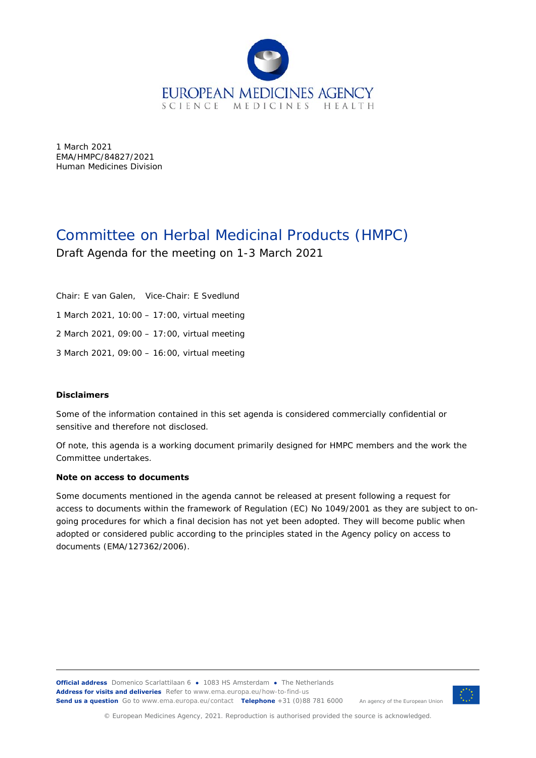

1 March 2021 EMA/HMPC/84827/2021 Human Medicines Division

# Committee on Herbal Medicinal Products (HMPC) Draft Agenda for the meeting on 1-3 March 2021

Chair: E van Galen, Vice-Chair: E Svedlund 1 March 2021, 10:00 – 17:00, virtual meeting 2 March 2021, 09:00 – 17:00, virtual meeting 3 March 2021, 09:00 – 16:00, virtual meeting

#### **Disclaimers**

Some of the information contained in this set agenda is considered commercially confidential or sensitive and therefore not disclosed.

Of note, this agenda is a working document primarily designed for HMPC members and the work the Committee undertakes.

#### **Note on access to documents**

Some documents mentioned in the agenda cannot be released at present following a request for access to documents within the framework of Regulation (EC) No 1049/2001 as they are subject to ongoing procedures for which a final decision has not yet been adopted. They will become public when adopted or considered public according to the principles stated in the Agency policy on access to documents (EMA/127362/2006).



© European Medicines Agency, 2021. Reproduction is authorised provided the source is acknowledged.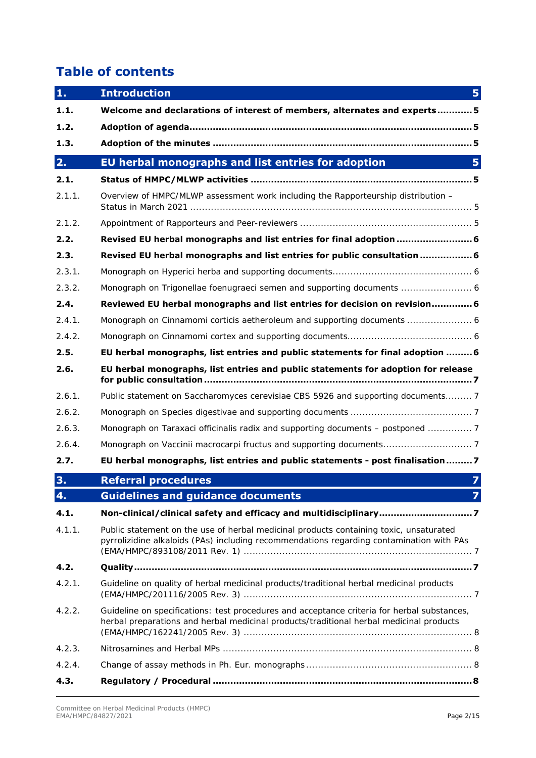# **Table of contents**

| 1.     | <b>Introduction</b>                                                                                                                                                                    | 5              |
|--------|----------------------------------------------------------------------------------------------------------------------------------------------------------------------------------------|----------------|
| 1.1.   | Welcome and declarations of interest of members, alternates and experts5                                                                                                               |                |
| 1.2.   |                                                                                                                                                                                        |                |
| 1.3.   |                                                                                                                                                                                        |                |
| 2.     | EU herbal monographs and list entries for adoption                                                                                                                                     | 5              |
| 2.1.   |                                                                                                                                                                                        |                |
| 2.1.1. | Overview of HMPC/MLWP assessment work including the Rapporteurship distribution -                                                                                                      |                |
| 2.1.2. |                                                                                                                                                                                        |                |
| 2.2.   | Revised EU herbal monographs and list entries for final adoption  6                                                                                                                    |                |
| 2.3.   | Revised EU herbal monographs and list entries for public consultation  6                                                                                                               |                |
| 2.3.1. |                                                                                                                                                                                        |                |
| 2.3.2. | Monograph on Trigonellae foenugraeci semen and supporting documents  6                                                                                                                 |                |
| 2.4.   | Reviewed EU herbal monographs and list entries for decision on revision 6                                                                                                              |                |
| 2.4.1. |                                                                                                                                                                                        |                |
| 2.4.2. |                                                                                                                                                                                        |                |
| 2.5.   | EU herbal monographs, list entries and public statements for final adoption 6                                                                                                          |                |
| 2.6.   | EU herbal monographs, list entries and public statements for adoption for release                                                                                                      |                |
| 2.6.1. | Public statement on Saccharomyces cerevisiae CBS 5926 and supporting documents 7                                                                                                       |                |
| 2.6.2. |                                                                                                                                                                                        |                |
| 2.6.3. | Monograph on Taraxaci officinalis radix and supporting documents - postponed  7                                                                                                        |                |
| 2.6.4. | Monograph on Vaccinii macrocarpi fructus and supporting documents7                                                                                                                     |                |
| 2.7.   | EU herbal monographs, list entries and public statements - post finalisation7                                                                                                          |                |
| 3.     | <b>Referral procedures</b>                                                                                                                                                             | $\overline{z}$ |
| 4.     | <b>Guidelines and guidance documents</b>                                                                                                                                               | 7              |
| 4.1.   | Non-clinical/clinical safety and efficacy and multidisciplinary7                                                                                                                       |                |
| 4.1.1. | Public statement on the use of herbal medicinal products containing toxic, unsaturated<br>pyrrolizidine alkaloids (PAs) including recommendations regarding contamination with PAs     |                |
| 4.2.   |                                                                                                                                                                                        |                |
| 4.2.1. | Guideline on quality of herbal medicinal products/traditional herbal medicinal products                                                                                                |                |
| 4.2.2. | Guideline on specifications: test procedures and acceptance criteria for herbal substances,<br>herbal preparations and herbal medicinal products/traditional herbal medicinal products |                |
| 4.2.3. |                                                                                                                                                                                        |                |
| 4.2.4. |                                                                                                                                                                                        |                |
| 4.3.   |                                                                                                                                                                                        |                |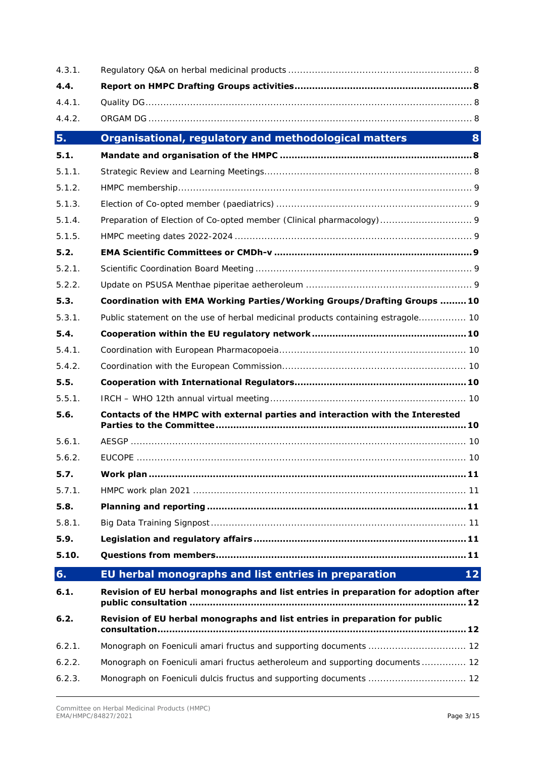| 4.3.1. |                                                                                     |
|--------|-------------------------------------------------------------------------------------|
| 4.4.   |                                                                                     |
| 4.4.1. |                                                                                     |
| 4.4.2. |                                                                                     |
| 5.     | Organisational, regulatory and methodological matters<br>8                          |
| 5.1.   |                                                                                     |
| 5.1.1. |                                                                                     |
| 5.1.2. |                                                                                     |
| 5.1.3. |                                                                                     |
| 5.1.4. | Preparation of Election of Co-opted member (Clinical pharmacology) 9                |
| 5.1.5. |                                                                                     |
| 5.2.   |                                                                                     |
| 5.2.1. |                                                                                     |
| 5.2.2. |                                                                                     |
| 5.3.   | Coordination with EMA Working Parties/Working Groups/Drafting Groups 10             |
| 5.3.1. | Public statement on the use of herbal medicinal products containing estragole 10    |
| 5.4.   |                                                                                     |
| 5.4.1. |                                                                                     |
| 5.4.2. |                                                                                     |
| 5.5.   |                                                                                     |
| 5.5.1. |                                                                                     |
| 5.6.   | Contacts of the HMPC with external parties and interaction with the Interested      |
| 5.6.1. |                                                                                     |
| 5.6.2. |                                                                                     |
| 5.7.   |                                                                                     |
| 5.7.1. |                                                                                     |
| 5.8.   |                                                                                     |
| 5.8.1. |                                                                                     |
| 5.9.   |                                                                                     |
| 5.10.  |                                                                                     |
| 6.     | EU herbal monographs and list entries in preparation<br>$1\overline{2}$             |
| 6.1.   | Revision of EU herbal monographs and list entries in preparation for adoption after |
| 6.2.   | Revision of EU herbal monographs and list entries in preparation for public         |
| 6.2.1. |                                                                                     |
| 6.2.2. | Monograph on Foeniculi amari fructus aetheroleum and supporting documents  12       |
| 6.2.3. |                                                                                     |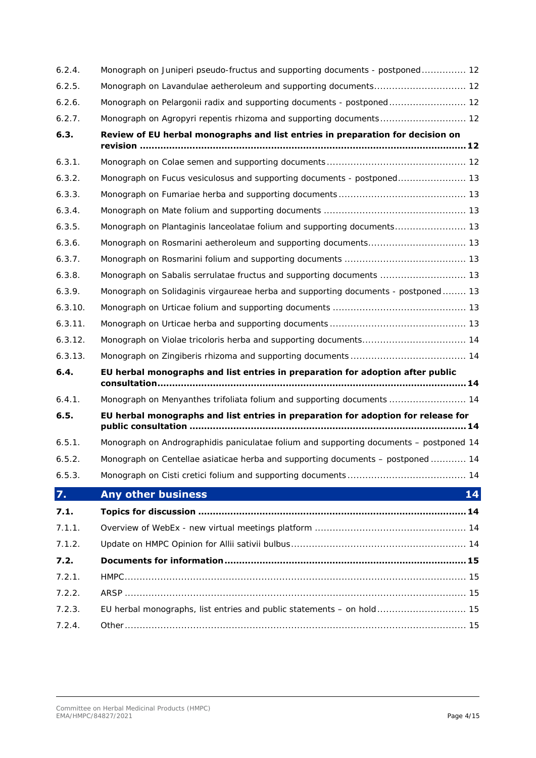| 6.2.4.  | Monograph on Juniperi pseudo-fructus and supporting documents - postponed 12           |
|---------|----------------------------------------------------------------------------------------|
| 6.2.5.  |                                                                                        |
| 6.2.6.  | Monograph on Pelargonii radix and supporting documents - postponed 12                  |
| 6.2.7.  | Monograph on Agropyri repentis rhizoma and supporting documents 12                     |
| 6.3.    | Review of EU herbal monographs and list entries in preparation for decision on         |
|         |                                                                                        |
| 6.3.1.  |                                                                                        |
| 6.3.2.  |                                                                                        |
| 6.3.3.  |                                                                                        |
| 6.3.4.  |                                                                                        |
| 6.3.5.  | Monograph on Plantaginis lanceolatae folium and supporting documents 13                |
| 6.3.6.  |                                                                                        |
| 6.3.7.  |                                                                                        |
| 6.3.8.  | Monograph on Sabalis serrulatae fructus and supporting documents  13                   |
| 6.3.9.  | Monograph on Solidaginis virgaureae herba and supporting documents - postponed 13      |
| 6.3.10. |                                                                                        |
| 6.3.11. |                                                                                        |
| 6.3.12. | Monograph on Violae tricoloris herba and supporting documents 14                       |
| 6.3.13. |                                                                                        |
| 6.4.    | EU herbal monographs and list entries in preparation for adoption after public         |
| 6.4.1.  | Monograph on Menyanthes trifoliata folium and supporting documents  14                 |
| 6.5.    | EU herbal monographs and list entries in preparation for adoption for release for      |
| 6.5.1.  | Monograph on Andrographidis paniculatae folium and supporting documents - postponed 14 |
| 6.5.2.  | Monograph on Centellae asiaticae herba and supporting documents - postponed  14        |
| 6.5.3.  |                                                                                        |
| 7.      | <b>Any other business</b><br>14                                                        |
| 7.1.    |                                                                                        |
| 7.1.1.  |                                                                                        |
| 7.1.2.  |                                                                                        |
| 7.2.    |                                                                                        |
| 7.2.1.  |                                                                                        |
| 7.2.2.  |                                                                                        |
| 7.2.3.  | EU herbal monographs, list entries and public statements - on hold 15                  |
| 7.2.4.  |                                                                                        |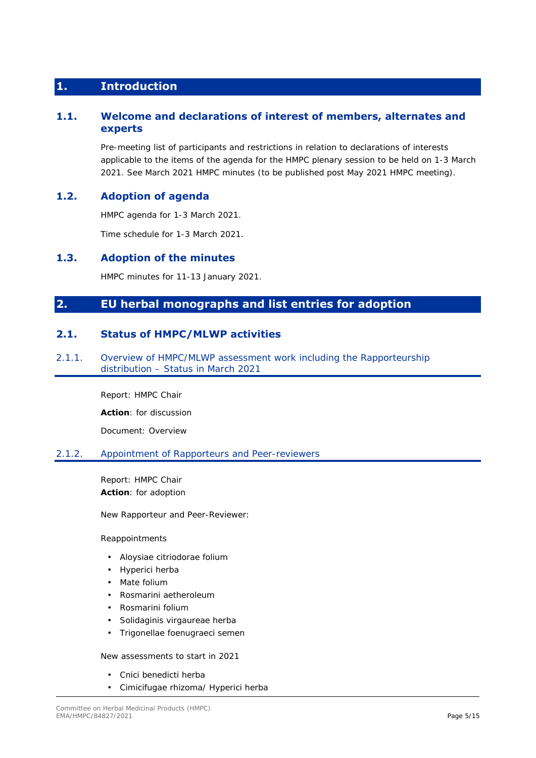## **1. Introduction**

### **1.1. Welcome and declarations of interest of members, alternates and experts**

Pre-meeting list of participants and restrictions in relation to declarations of interests applicable to the items of the agenda for the HMPC plenary session to be held on 1-3 March 2021. See March 2021 HMPC minutes (to be published post May 2021 HMPC meeting).

### **1.2. Adoption of agenda**

HMPC agenda for 1-3 March 2021.

Time schedule for 1-3 March 2021.

### **1.3. Adoption of the minutes**

HMPC minutes for 11-13 January 2021.

# **2. EU herbal monographs and list entries for adoption**

### **2.1. Status of HMPC/MLWP activities**

2.1.1. Overview of HMPC/MLWP assessment work including the Rapporteurship distribution – Status in March 2021

Report: HMPC Chair

**Action**: for discussion

Document: Overview

### 2.1.2. Appointment of Rapporteurs and Peer-reviewers

Report: HMPC Chair **Action**: for adoption

New Rapporteur and Peer-Reviewer:

#### Reappointments

- Aloysiae citriodorae folium
- Hyperici herba
- Mate folium
- Rosmarini aetheroleum
- Rosmarini folium
- Solidaginis virgaureae herba
- Trigonellae foenugraeci semen

New assessments to start in 2021

- Cnici benedicti herba
- Cimicifugae rhizoma/ Hyperici herba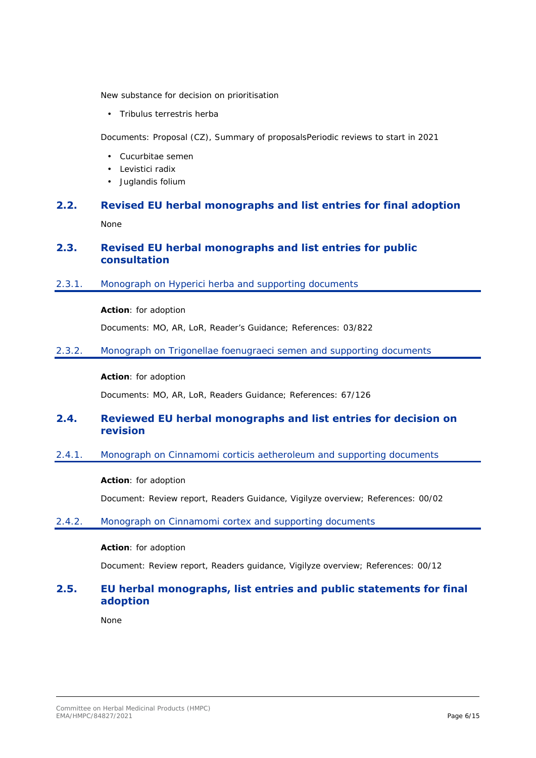New substance for decision on prioritisation

• Tribulus terrestris herba

Documents: Proposal (CZ), Summary of proposalsPeriodic reviews to start in 2021

- Cucurbitae semen
- Levistici radix
- Juglandis folium

# **2.2. Revised EU herbal monographs and list entries for final adoption**  None

### **2.3. Revised EU herbal monographs and list entries for public consultation**

2.3.1. Monograph on Hyperici herba and supporting documents

### **Action**: for adoption

Documents: MO, AR, LoR, Reader's Guidance; References: 03/822

2.3.2. Monograph on Trigonellae foenugraeci semen and supporting documents

#### **Action**: for adoption

Documents: MO, AR, LoR, Readers Guidance; References: 67/126

### **2.4. Reviewed EU herbal monographs and list entries for decision on revision**

2.4.1. Monograph on Cinnamomi corticis aetheroleum and supporting documents

#### **Action**: for adoption

Document: Review report, Readers Guidance, Vigilyze overview; References: 00/02

#### 2.4.2. Monograph on Cinnamomi cortex and supporting documents

#### **Action**: for adoption

Document: Review report, Readers guidance, Vigilyze overview; References: 00/12

### **2.5. EU herbal monographs, list entries and public statements for final adoption**

None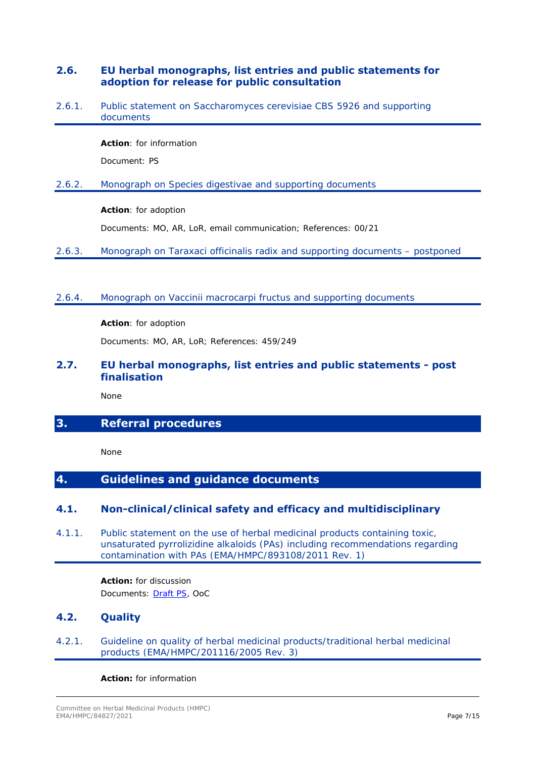### **2.6. EU herbal monographs, list entries and public statements for adoption for release for public consultation**

2.6.1. Public statement on Saccharomyces cerevisiae CBS 5926 and supporting documents

**Action**: for information

Document: PS

2.6.2. Monograph on Species digestivae and supporting documents

### **Action**: for adoption

Documents: MO, AR, LoR, email communication; References: 00/21

- 2.6.3. Monograph on Taraxaci officinalis radix and supporting documents postponed
- 2.6.4. Monograph on Vaccinii macrocarpi fructus and supporting documents

**Action**: for adoption

Documents: MO, AR, LoR; References: 459/249

### **2.7. EU herbal monographs, list entries and public statements - post finalisation**

None

# **3. Referral procedures**

None

# **4. Guidelines and guidance documents**

### **4.1. Non-clinical/clinical safety and efficacy and multidisciplinary**

4.1.1. Public statement on the use of herbal medicinal products containing toxic, unsaturated pyrrolizidine alkaloids (PAs) including recommendations regarding contamination with PAs (EMA/HMPC/893108/2011 Rev. 1)

> **Action:** for discussion Documents: [Draft PS,](https://www.ema.europa.eu/en/documents/public-statement/draft-public-statement-use-herbal-medicinal-products-containing-toxic-unsaturated-pyrrolizidine_en-0.pdf) OoC

## **4.2. Quality**

4.2.1. Guideline on quality of herbal medicinal products/traditional herbal medicinal products (EMA/HMPC/201116/2005 Rev. 3)

#### **Action:** for information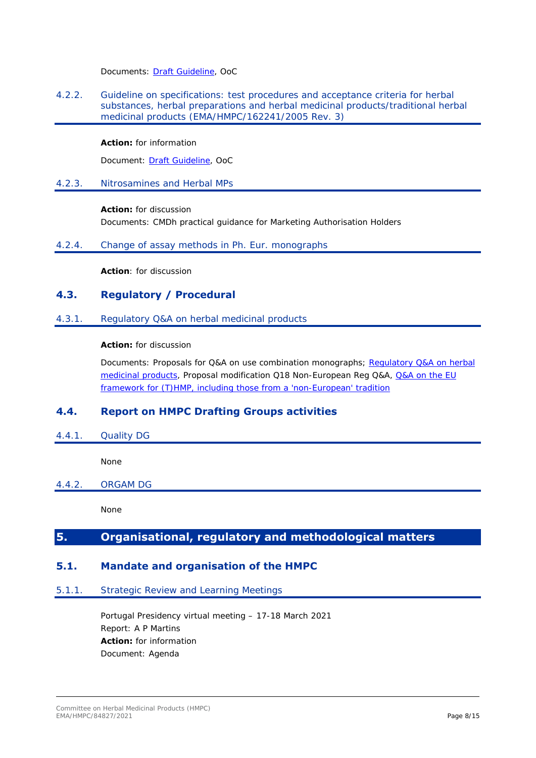Documents: [Draft Guideline](https://www.ema.europa.eu/en/documents/scientific-guideline/draft-guideline-quality-herbal-medicinal-products/traditional-herbal-medicinal-products-revision-3_en.pdf), OoC

4.2.2. Guideline on specifications: test procedures and acceptance criteria for herbal substances, herbal preparations and herbal medicinal products/traditional herbal medicinal products (EMA/HMPC/162241/2005 Rev. 3)

### **Action:** for information

Document: [Draft Guideline](https://www.ema.europa.eu/en/documents/scientific-guideline/draft-guideline-specifications-test-procedures-acceptance-criteria-herbal-substances-herbal/traditional-herbal-medicinal-products-revision-3_en.pdf), OoC

### 4.2.3. Nitrosamines and Herbal MPs

### **Action:** for discussion

Documents: CMDh practical guidance for Marketing Authorisation Holders

### 4.2.4. Change of assay methods in Ph. Eur. monographs

**Action**: for discussion

### **4.3. Regulatory / Procedural**

### 4.3.1. Regulatory Q&A on herbal medicinal products

### **Action:** for discussion

Documents: Proposals for Q&A on use combination monographs; Regulatory Q&A on herbal [medicinal products](https://www.ema.europa.eu/en/documents/other/regulatory-questions-answers-herbal-medicinal-products_en.pdf), Proposal modification Q18 Non-European Reg Q&A, [Q&A on the EU](https://www.ema.europa.eu/en/documents/regulatory-procedural-guideline/questions-answers-european-union-framework-traditional-herbal-medicinal-products-including-those-non_en.pdf)  [framework for \(T\)HMP, including those from a 'non-European' tradition](https://www.ema.europa.eu/en/documents/regulatory-procedural-guideline/questions-answers-european-union-framework-traditional-herbal-medicinal-products-including-those-non_en.pdf)

### **4.4. Report on HMPC Drafting Groups activities**

4.4.1. Quality DG

None

### 4.4.2. ORGAM DG

None

# **5. Organisational, regulatory and methodological matters**

### **5.1. Mandate and organisation of the HMPC**

### 5.1.1. Strategic Review and Learning Meetings

Portugal Presidency virtual meeting – 17-18 March 2021 Report: A P Martins **Action:** for information Document: Agenda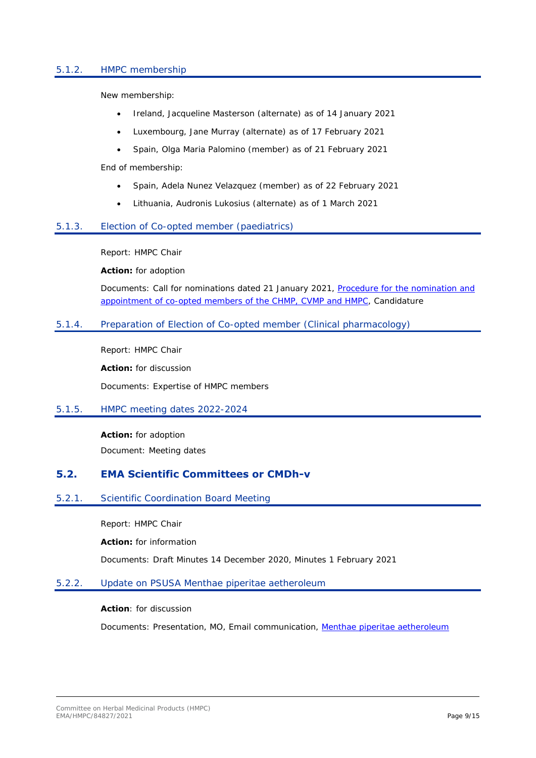### 5.1.2. HMPC membership

New membership:

- Ireland, Jacqueline Masterson (alternate) as of 14 January 2021
- Luxembourg, Jane Murray (alternate) as of 17 February 2021
- Spain, Olga Maria Palomino (member) as of 21 February 2021

End of membership:

- Spain, Adela Nunez Velazquez (member) as of 22 February 2021
- Lithuania, Audronis Lukosius (alternate) as of 1 March 2021

### 5.1.3. Election of Co-opted member (paediatrics)

Report: HMPC Chair

**Action:** for adoption

Documents: Call for nominations dated 21 January 2021[, Procedure for the nomination and](https://www.ema.europa.eu/en/documents/regulatory-procedural-guideline/procedure-nomination-appointment-co-opted-members-committee-medicinal-products-human/veterinary-use-committee-herbal-medicinal-products-effective-01/08/2016_en.pdf)  [appointment of co-opted members of the CHMP, CVMP and HMPC](https://www.ema.europa.eu/en/documents/regulatory-procedural-guideline/procedure-nomination-appointment-co-opted-members-committee-medicinal-products-human/veterinary-use-committee-herbal-medicinal-products-effective-01/08/2016_en.pdf), Candidature

### 5.1.4. Preparation of Election of Co-opted member (Clinical pharmacology)

Report: HMPC Chair

**Action:** for discussion

Documents: Expertise of HMPC members

#### 5.1.5. HMPC meeting dates 2022-2024

**Action:** for adoption Document: Meeting dates

### **5.2. EMA Scientific Committees or CMDh-v**

#### 5.2.1. Scientific Coordination Board Meeting

Report: HMPC Chair

**Action:** for information

Documents: Draft Minutes 14 December 2020, Minutes 1 February 2021

#### 5.2.2. Update on PSUSA Menthae piperitae aetheroleum

**Action**: for discussion

Documents: Presentation, MO, Email communication, [Menthae piperitae aetheroleum](https://www.ema.europa.eu/en/medicines/herbal/menthae-piperitae-aetheroleum)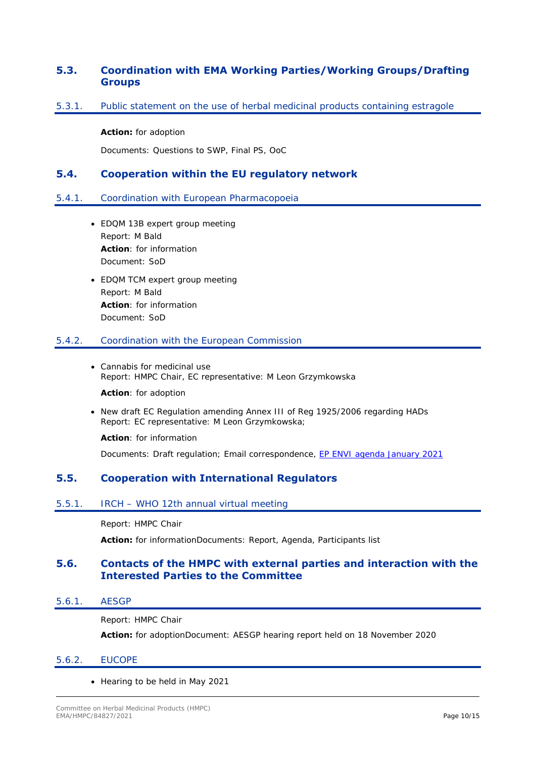### **5.3. Coordination with EMA Working Parties/Working Groups/Drafting Groups**

### 5.3.1. Public statement on the use of herbal medicinal products containing estragole

#### **Action:** for adoption

Documents: Questions to SWP, Final PS, OoC

### **5.4. Cooperation within the EU regulatory network**

### 5.4.1. Coordination with European Pharmacopoeia

- EDQM 13B expert group meeting Report: M Bald **Action**: for information Document: SoD
- EDQM TCM expert group meeting Report: M Bald **Action**: for information Document: SoD

#### 5.4.2. Coordination with the European Commission

 Cannabis for medicinal use Report: HMPC Chair, EC representative: M Leon Grzymkowska

**Action**: for adoption

• New draft EC Regulation amending Annex III of Reg 1925/2006 regarding HADs Report: EC representative: M Leon Grzymkowska;

**Action**: for information

Documents: Draft regulation; Email correspondence, [EP ENVI agenda January 2021](https://www.europarl.europa.eu/meetdocs/2014_2019/plmrep/COMMITTEES/ENVI/OJ/2021/01-25/1222832EN.pdf)

### **5.5. Cooperation with International Regulators**

#### 5.5.1. IRCH – WHO 12th annual virtual meeting

Report: HMPC Chair

**Action:** for informationDocuments: Report, Agenda, Participants list

### **5.6. Contacts of the HMPC with external parties and interaction with the Interested Parties to the Committee**

5.6.1. AESGP

Report: HMPC Chair

**Action:** for adoptionDocument: AESGP hearing report held on 18 November 2020

#### 5.6.2. EUCOPE

• Hearing to be held in May 2021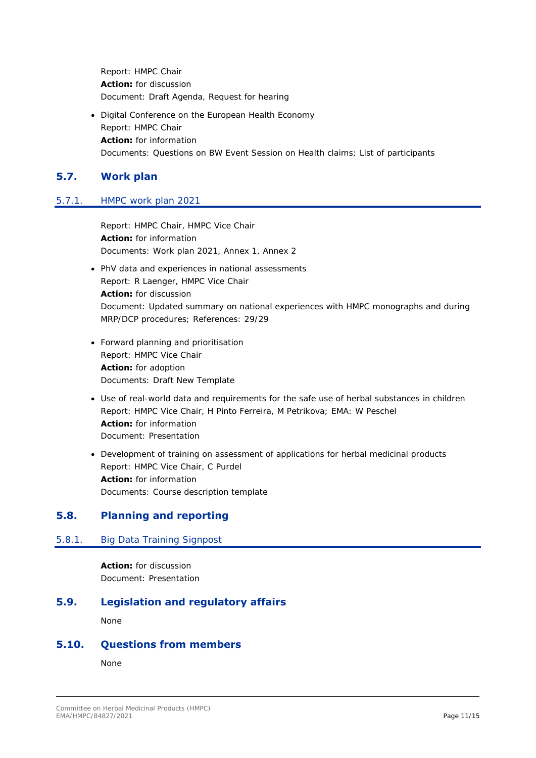Report: HMPC Chair **Action:** for discussion Document: Draft Agenda, Request for hearing

 Digital Conference on the European Health Economy Report: HMPC Chair **Action:** for information Documents: Questions on BW Event Session on Health claims; List of participants

# **5.7. Work plan**

### 5.7.1. HMPC work plan 2021

Report: HMPC Chair, HMPC Vice Chair **Action:** for information Documents: Work plan 2021, Annex 1, Annex 2

- PhV data and experiences in national assessments Report: R Laenger, HMPC Vice Chair **Action:** for discussion Document: Updated summary on national experiences with HMPC monographs and during MRP/DCP procedures; References: 29/29
- Forward planning and prioritisation Report: HMPC Vice Chair **Action:** for adoption Documents: Draft New Template
- Use of real-world data and requirements for the safe use of herbal substances in children Report: HMPC Vice Chair, H Pinto Ferreira, M Petrikova; EMA: W Peschel **Action:** for information Document: Presentation
- Development of training on assessment of applications for herbal medicinal products Report: HMPC Vice Chair, C Purdel **Action:** for information Documents: Course description template

### **5.8. Planning and reporting**

### 5.8.1. Big Data Training Signpost

**Action:** for discussion Document: Presentation

### **5.9. Legislation and regulatory affairs**

None

### **5.10. Questions from members**

None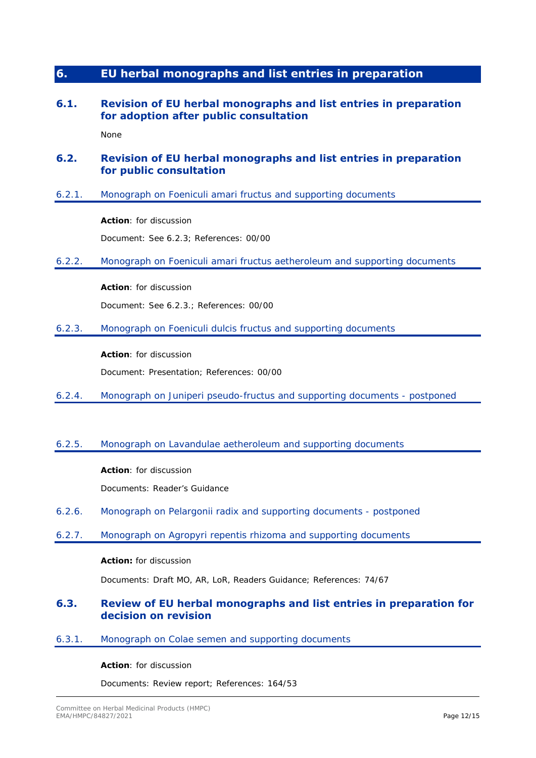# **6. EU herbal monographs and list entries in preparation**

### **6.1. Revision of EU herbal monographs and list entries in preparation for adoption after public consultation**

None

### **6.2. Revision of EU herbal monographs and list entries in preparation for public consultation**

6.2.1. Monograph on Foeniculi amari fructus and supporting documents

**Action**: for discussion

Document: See 6.2.3; References: 00/00

6.2.2. Monograph on Foeniculi amari fructus aetheroleum and supporting documents

**Action**: for discussion

Document: See 6.2.3.; References: 00/00

6.2.3. Monograph on Foeniculi dulcis fructus and supporting documents

**Action**: for discussion

Document: Presentation; References: 00/00

6.2.4. Monograph on Juniperi pseudo-fructus and supporting documents - postponed

### 6.2.5. Monograph on Lavandulae aetheroleum and supporting documents

**Action**: for discussion

Documents: Reader's Guidance

- 6.2.6. Monograph on Pelargonii radix and supporting documents postponed
- 6.2.7. Monograph on Agropyri repentis rhizoma and supporting documents

#### **Action:** for discussion

Documents: Draft MO, AR, LoR, Readers Guidance; References: 74/67

### **6.3. Review of EU herbal monographs and list entries in preparation for decision on revision**

### 6.3.1. Monograph on Colae semen and supporting documents

#### **Action**: for discussion

Documents: Review report; References: 164/53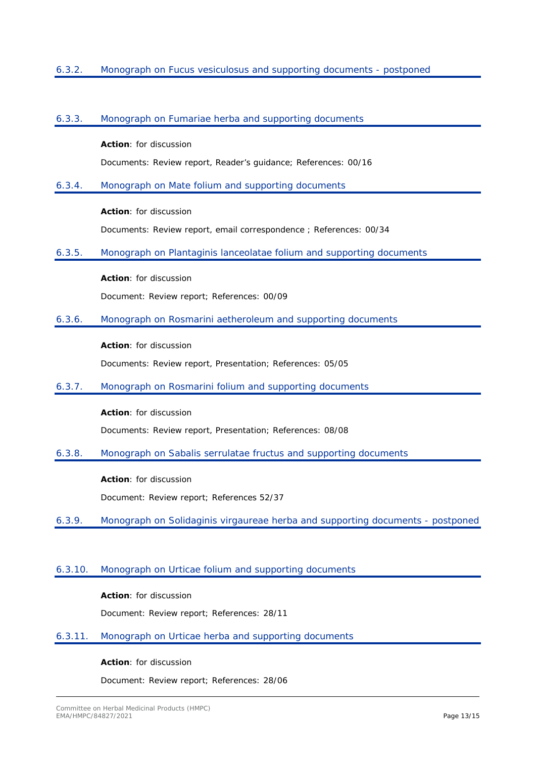### 6.3.2. Monograph on Fucus vesiculosus and supporting documents - postponed

#### 6.3.3. Monograph on Fumariae herba and supporting documents

#### **Action**: for discussion

Documents: Review report, Reader's guidance; References: 00/16

#### 6.3.4. Monograph on Mate folium and supporting documents

### **Action**: for discussion

Documents: Review report, email correspondence ; References: 00/34

#### 6.3.5. Monograph on Plantaginis lanceolatae folium and supporting documents

**Action**: for discussion

Document: Review report; References: 00/09

### 6.3.6. Monograph on Rosmarini aetheroleum and supporting documents

#### **Action**: for discussion

Documents: Review report, Presentation; References: 05/05

6.3.7. Monograph on Rosmarini folium and supporting documents

**Action**: for discussion

Documents: Review report, Presentation; References: 08/08

6.3.8. Monograph on Sabalis serrulatae fructus and supporting documents

**Action**: for discussion Document: Review report; References 52/37

6.3.9. Monograph on Solidaginis virgaureae herba and supporting documents - postponed

### 6.3.10. Monograph on Urticae folium and supporting documents

**Action**: for discussion

Document: Review report; References: 28/11

### 6.3.11. Monograph on Urticae herba and supporting documents

#### **Action**: for discussion

Document: Review report; References: 28/06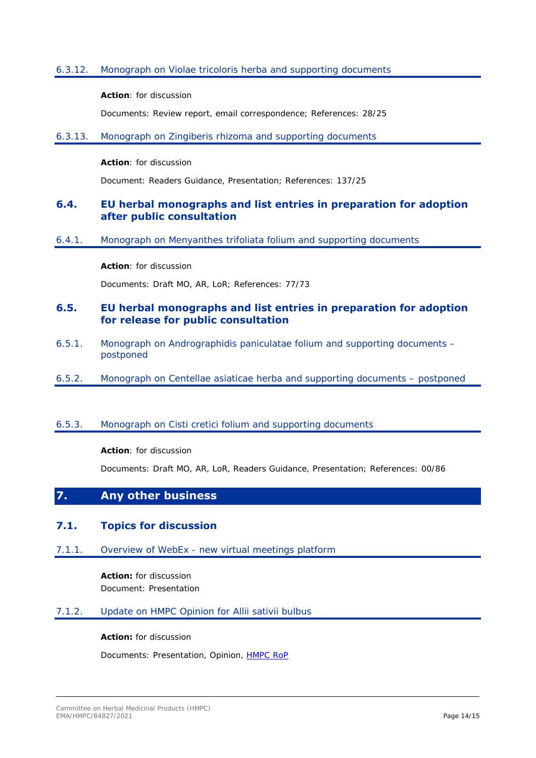### 6.3.12. Monograph on Violae tricoloris herba and supporting documents

#### **Action**: for discussion

Documents: Review report, email correspondence; References: 28/25

#### 6.3.13. Monograph on Zingiberis rhizoma and supporting documents

#### **Action**: for discussion

Document: Readers Guidance, Presentation; References: 137/25

### **6.4. EU herbal monographs and list entries in preparation for adoption after public consultation**

6.4.1. Monograph on Menyanthes trifoliata folium and supporting documents

### **Action**: for discussion

Documents: Draft MO, AR, LoR; References: 77/73

### **6.5. EU herbal monographs and list entries in preparation for adoption for release for public consultation**

- 6.5.1. Monograph on Andrographidis paniculatae folium and supporting documents postponed
- 6.5.2. Monograph on Centellae asiaticae herba and supporting documents postponed

### 6.5.3. Monograph on Cisti cretici folium and supporting documents

### **Action**: for discussion

Documents: Draft MO, AR, LoR, Readers Guidance, Presentation; References: 00/86

### **7. Any other business**

### **7.1. Topics for discussion**

7.1.1. Overview of WebEx - new virtual meetings platform

**Action:** for discussion Document: Presentation

### 7.1.2. Update on HMPC Opinion for Allii sativii bulbus

#### **Action:** for discussion

Documents: Presentation, Opinion, [HMPC RoP](https://www.ema.europa.eu/en/documents/regulatory-procedural-guideline/hmpc-rules-procedure_en.pdf)